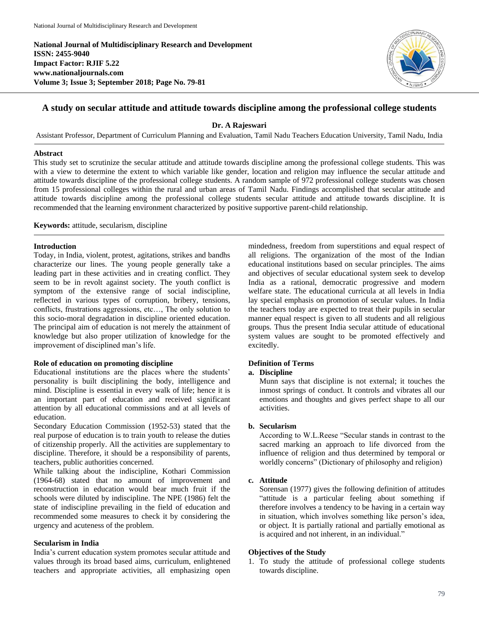**National Journal of Multidisciplinary Research and Development ISSN: 2455-9040 Impact Factor: RJIF 5.22 www.nationaljournals.com Volume 3; Issue 3; September 2018; Page No. 79-81**



# **A study on secular attitude and attitude towards discipline among the professional college students**

**Dr. A Rajeswari**

Assistant Professor, Department of Curriculum Planning and Evaluation, Tamil Nadu Teachers Education University, Tamil Nadu, India

# **Abstract**

This study set to scrutinize the secular attitude and attitude towards discipline among the professional college students. This was with a view to determine the extent to which variable like gender, location and religion may influence the secular attitude and attitude towards discipline of the professional college students. A random sample of 972 professional college students was chosen from 15 professional colleges within the rural and urban areas of Tamil Nadu. Findings accomplished that secular attitude and attitude towards discipline among the professional college students secular attitude and attitude towards discipline. It is recommended that the learning environment characterized by positive supportive parent-child relationship.

**Keywords:** attitude, secularism, discipline

### **Introduction**

Today, in India, violent, protest, agitations, strikes and bandhs characterize our lines. The young people generally take a leading part in these activities and in creating conflict. They seem to be in revolt against society. The youth conflict is symptom of the extensive range of social indiscipline, reflected in various types of corruption, bribery, tensions, conflicts, frustrations aggressions, etc…, The only solution to this socio-moral degradation in discipline oriented education. The principal aim of education is not merely the attainment of knowledge but also proper utilization of knowledge for the improvement of disciplined man's life.

### **Role of education on promoting discipline**

Educational institutions are the places where the students' personality is built disciplining the body, intelligence and mind. Discipline is essential in every walk of life; hence it is an important part of education and received significant attention by all educational commissions and at all levels of education.

Secondary Education Commission (1952-53) stated that the real purpose of education is to train youth to release the duties of citizenship properly. All the activities are supplementary to discipline. Therefore, it should be a responsibility of parents, teachers, public authorities concerned.

While talking about the indiscipline, Kothari Commission (1964-68) stated that no amount of improvement and reconstruction in education would bear much fruit if the schools were diluted by indiscipline. The NPE (1986) felt the state of indiscipline prevailing in the field of education and recommended some measures to check it by considering the urgency and acuteness of the problem.

### **Secularism in India**

India's current education system promotes secular attitude and values through its broad based aims, curriculum, enlightened teachers and appropriate activities, all emphasizing open mindedness, freedom from superstitions and equal respect of all religions. The organization of the most of the Indian educational institutions based on secular principles. The aims and objectives of secular educational system seek to develop India as a rational, democratic progressive and modern welfare state. The educational curricula at all levels in India lay special emphasis on promotion of secular values. In India the teachers today are expected to treat their pupils in secular manner equal respect is given to all students and all religious groups. Thus the present India secular attitude of educational system values are sought to be promoted effectively and excitedly.

### **Definition of Terms**

### **a. Discipline**

Munn says that discipline is not external; it touches the inmost springs of conduct. It controls and vibrates all our emotions and thoughts and gives perfect shape to all our activities.

### **b. Secularism**

According to W.L.Reese "Secular stands in contrast to the sacred marking an approach to life divorced from the influence of religion and thus determined by temporal or worldly concerns" (Dictionary of philosophy and religion)

#### **c. Attitude**

Sorensan (1977) gives the following definition of attitudes "attitude is a particular feeling about something if therefore involves a tendency to be having in a certain way in situation, which involves something like person's idea, or object. It is partially rational and partially emotional as is acquired and not inherent, in an individual."

# **Objectives of the Study**

1. To study the attitude of professional college students towards discipline.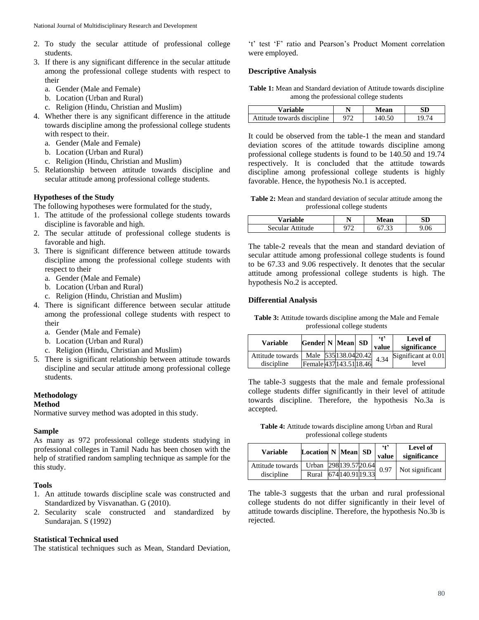- 2. To study the secular attitude of professional college students.
- 3. If there is any significant difference in the secular attitude among the professional college students with respect to their
	- a. Gender (Male and Female)
	- b. Location (Urban and Rural)
	- c. Religion (Hindu, Christian and Muslim)
- 4. Whether there is any significant difference in the attitude towards discipline among the professional college students with respect to their.
	- a. Gender (Male and Female)
	- b. Location (Urban and Rural)
	- c. Religion (Hindu, Christian and Muslim)
- 5. Relationship between attitude towards discipline and secular attitude among professional college students.

### **Hypotheses of the Study**

The following hypotheses were formulated for the study,

- 1. The attitude of the professional college students towards discipline is favorable and high.
- 2. The secular attitude of professional college students is favorable and high.
- 3. There is significant difference between attitude towards discipline among the professional college students with respect to their
	- a. Gender (Male and Female)
	- b. Location (Urban and Rural)
	- c. Religion (Hindu, Christian and Muslim)
- 4. There is significant difference between secular attitude among the professional college students with respect to their

a. Gender (Male and Female)

- b. Location (Urban and Rural)
- c. Religion (Hindu, Christian and Muslim)
- 5. There is significant relationship between attitude towards discipline and secular attitude among professional college students.

#### **Methodology**

#### **Method**

Normative survey method was adopted in this study.

### **Sample**

As many as 972 professional college students studying in professional colleges in Tamil Nadu has been chosen with the help of stratified random sampling technique as sample for the this study.

### **Tools**

- 1. An attitude towards discipline scale was constructed and Standardized by Visvanathan. G (2010).
- 2. Secularity scale constructed and standardized by Sundarajan. S (1992)

#### **Statistical Technical used**

The statistical techniques such as Mean, Standard Deviation,

't' test 'F' ratio and Pearson's Product Moment correlation were employed.

## **Descriptive Analysis**

| <b>Table 1:</b> Mean and Standard deviation of Attitude towards discipline |
|----------------------------------------------------------------------------|
| among the professional college students                                    |

| Variable                    |     | Mean         |  |
|-----------------------------|-----|--------------|--|
| Attitude towards discipline | ריר | .50<br>140.5 |  |

It could be observed from the table-1 the mean and standard deviation scores of the attitude towards discipline among professional college students is found to be 140.50 and 19.74 respectively. It is concluded that the attitude towards discipline among professional college students is highly favorable. Hence, the hypothesis No.1 is accepted.

**Table 2:** Mean and standard deviation of secular attitude among the professional college students

| <b>Variable</b>       | N | Mean |  |
|-----------------------|---|------|--|
| Secular .<br>Attitude |   |      |  |

The table-2 reveals that the mean and standard deviation of secular attitude among professional college students is found to be 67.33 and 9.06 respectively. It denotes that the secular attitude among professional college students is high. The hypothesis No.2 is accepted.

### **Differential Analysis**

**Table 3:** Attitude towards discipline among the Male and Female professional college students

| <b>Variable</b>  | Gender N   Mean   SD |  | $6+9$<br>value | Level of<br>significance |
|------------------|----------------------|--|----------------|--------------------------|
| Attitude towards | Male 535138.0420.42  |  | 4.34           | Significant at 0.01      |
| discipline       | Female437143.5118.46 |  |                | level                    |

The table-3 suggests that the male and female professional college students differ significantly in their level of attitude towards discipline. Therefore, the hypothesis No.3a is accepted.

**Table 4:** Attitude towards discipline among Urban and Rural professional college students

| <b>Variable</b>                         | Location N Mean SD |                  | $\ddot{\ }$<br>value | Level of<br>significance |
|-----------------------------------------|--------------------|------------------|----------------------|--------------------------|
| Attitude towards Urban 298 139.57 20.64 |                    |                  | 0.97                 | Not significant          |
| discipline                              | Rural              | 674 140.91 19.33 |                      |                          |

The table-3 suggests that the urban and rural professional college students do not differ significantly in their level of attitude towards discipline. Therefore, the hypothesis No.3b is rejected.